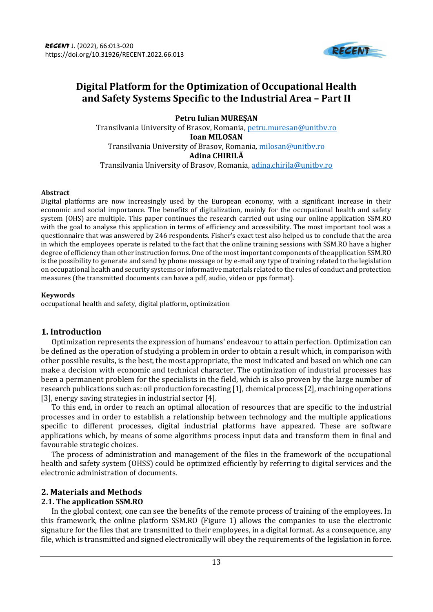

# **Digital Platform for the Optimization of Occupational Health and Safety Systems Specific to the Industrial Area – Part II**

**Petru Iulian MUREȘAN** Transilvania University of Brasov, Romania, [petru.muresan@unitbv.ro](mailto:petru.muresan@unitbv.ro) **Ioan MILOSAN** Transilvania University of Brasov, Romania[, milosan@unitbv.ro](mailto:milosan@unitbv.ro) **Adina CHIRILĂ** Transilvania University of Brasov, Romania, [adina.chirila@unitbv.ro](mailto:adina.chirila@unitbv.ro)

#### **Abstract**

Digital platforms are now increasingly used by the European economy, with a significant increase in their economic and social importance. The benefits of digitalization, mainly for the occupational health and safety system (OHS) are multiple. This paper continues the research carried out using our online application SSM.RO with the goal to analyse this application in terms of efficiency and accessibility. The most important tool was a questionnaire that was answered by 246 respondents. Fisher's exact test also helped us to conclude that the area in which the employees operate is related to the fact that the online training sessions with SSM.RO have a higher degree of efficiency than other instruction forms. One of the most important components of the application SSM.RO is the possibility to generate and send by phone message or by e-mail any type of training related to the legislation on occupational health and security systems or informative materials related to the rules of conduct and protection measures (the transmitted documents can have a pdf, audio, video or pps format).

#### **Keywords**

occupational health and safety, digital platform, optimization

# **1. Introduction**

Optimization represents the expression of humans' endeavour to attain perfection. Optimization can be defined as the operation of studying a problem in order to obtain a result which, in comparison with other possible results, is the best, the most appropriate, the most indicated and based on which one can make a decision with economic and technical character. The optimization of industrial processes has been a permanent problem for the specialists in the field, which is also proven by the large number of research publications such as: oil production forecasting [1], chemical process [2], machining operations [3], energy saving strategies in industrial sector [4].

To this end, in order to reach an optimal allocation of resources that are specific to the industrial processes and in order to establish a relationship between technology and the multiple applications specific to different processes, digital industrial platforms have appeared. These are software applications which, by means of some algorithms process input data and transform them in final and favourable strategic choices.

The process of administration and management of the files in the framework of the occupational health and safety system (OHSS) could be optimized efficiently by referring to digital services and the electronic administration of documents.

# **2. Materials and Methods**

# **2.1. The application SSM.RO**

In the global context, one can see the benefits of the remote process of training of the employees. In this framework, the online platform SSM.RO (Figure 1) allows the companies to use the electronic signature for the files that are transmitted to their employees, in a digital format. As a consequence, any file, which is transmitted and signed electronically will obey the requirements of the legislation in force.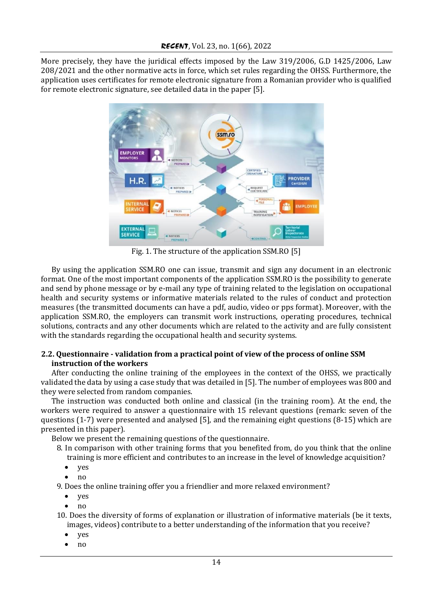More precisely, they have the juridical effects imposed by the Law 319/2006, G.D 1425/2006, Law 208/2021 and the other normative acts in force, which set rules regarding the OHSS. Furthermore, the application uses certificates for remote electronic signature from a Romanian provider who is qualified for remote electronic signature, see detailed data in the paper [5].



Fig. 1. The structure of the application SSM.RO [5]

By using the application SSM.RO one can issue, transmit and sign any document in an electronic format. One of the most important components of the application SSM.RO is the possibility to generate and send by phone message or by e-mail any type of training related to the legislation on occupational health and security systems or informative materials related to the rules of conduct and protection measures (the transmitted documents can have a pdf, audio, video or pps format). Moreover, with the application SSM.RO, the employers can transmit work instructions, operating procedures, technical solutions, contracts and any other documents which are related to the activity and are fully consistent with the standards regarding the occupational health and security systems.

# **2.2. Questionnaire - validation from a practical point of view of the process of online SSM instruction of the workers**

After conducting the online training of the employees in the context of the OHSS, we practically validated the data by using a case study that was detailed in [5]. The number of employees was 800 and they were selected from random companies.

The instruction was conducted both online and classical (in the training room). At the end, the workers were required to answer a questionnaire with 15 relevant questions (remark: seven of the questions (1-7) were presented and analysed [5], and the remaining eight questions (8-15) which are presented in this paper).

Below we present the remaining questions of the questionnaire.

8. In comparison with other training forms that you benefited from, do you think that the online

training is more efficient and contributes to an increase in the level of knowledge acquisition?

- yes
- no

9. Does the online training offer you a friendlier and more relaxed environment?

- yes
- no

10. Does the diversity of forms of explanation or illustration of informative materials (be it texts, images, videos) contribute to a better understanding of the information that you receive?

- yes
- no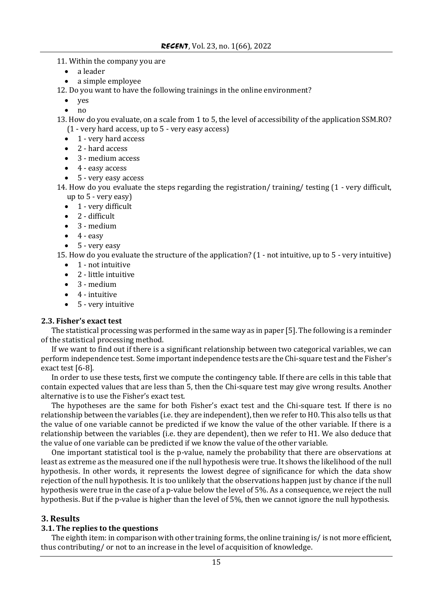11. Within the company you are

- a leader
- a simple employee

12. Do you want to have the following trainings in the online environment?

• yes

• no

13. How do you evaluate, on a scale from 1 to 5, the level of accessibility of the application SSM.RO? (1 - very hard access, up to 5 - very easy access)

- 1 very hard access
- 2 hard access
- 3 medium access
- 4 easy access
- 5 very easy access

14. How do you evaluate the steps regarding the registration/ training/ testing (1 - very difficult, up to 5 - very easy)

- 1 very difficult
- 2 difficult
- 3 medium
- $\bullet$  4 easy
- 5 very easy

15. How do you evaluate the structure of the application? (1 - not intuitive, up to 5 - very intuitive)

- 1 not intuitive
- 2 little intuitive
- $\bullet$  3 medium
- 4 intuitive
- 5 very intuitive

#### **2.3. Fisher's exact test**

The statistical processing was performed in the same way as in paper [5]. The following is a reminder of the statistical processing method.

If we want to find out if there is a significant relationship between two categorical variables, we can perform independence test. Some important independence tests are the Chi-square test and the Fisher's exact test [6-8].

In order to use these tests, first we compute the contingency table. If there are cells in this table that contain expected values that are less than 5, then the Chi-square test may give wrong results. Another alternative is to use the Fisher's exact test.

The hypotheses are the same for both Fisher's exact test and the Chi-square test. If there is no relationship between the variables (i.e. they are independent), then we refer to H0. This also tells us that the value of one variable cannot be predicted if we know the value of the other variable. If there is a relationship between the variables (i.e. they are dependent), then we refer to H1. We also deduce that the value of one variable can be predicted if we know the value of the other variable.

One important statistical tool is the p-value, namely the probability that there are observations at least as extreme as the measured one if the null hypothesis were true. It shows the likelihood of the null hypothesis. In other words, it represents the lowest degree of significance for which the data show rejection of the null hypothesis. It is too unlikely that the observations happen just by chance if the null hypothesis were true in the case of a p-value below the level of 5%. As a consequence, we reject the null hypothesis. But if the p-value is higher than the level of 5%, then we cannot ignore the null hypothesis.

# **3. Results**

#### **3.1. The replies to the questions**

The eighth item: in comparison with other training forms, the online training is/ is not more efficient, thus contributing/ or not to an increase in the level of acquisition of knowledge.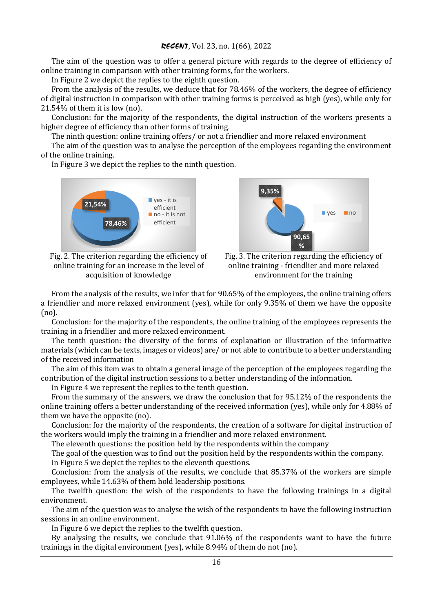The aim of the question was to offer a general picture with regards to the degree of efficiency of online training in comparison with other training forms, for the workers.

In Figure 2 we depict the replies to the eighth question.

From the analysis of the results, we deduce that for 78.46% of the workers, the degree of efficiency of digital instruction in comparison with other training forms is perceived as high (yes), while only for 21.54% of them it is low (no).

Conclusion: for the majority of the respondents, the digital instruction of the workers presents a higher degree of efficiency than other forms of training.

The ninth question: online training offers/ or not a friendlier and more relaxed environment

The aim of the question was to analyse the perception of the employees regarding the environment of the online training.

In Figure 3 we depict the replies to the ninth question.



Fig. 2. The criterion regarding the efficiency of online training for an increase in the level of acquisition of knowledge



Fig. 3. The criterion regarding the efficiency of online training - friendlier and more relaxed environment for the training

From the analysis of the results, we infer that for 90.65% of the employees, the online training offers a friendlier and more relaxed environment (yes), while for only 9.35% of them we have the opposite (no).

Conclusion: for the majority of the respondents, the online training of the employees represents the training in a friendlier and more relaxed environment.

The tenth question: the diversity of the forms of explanation or illustration of the informative materials (which can be texts, images or videos) are/ or not able to contribute to a better understanding of the received information

The aim of this item was to obtain a general image of the perception of the employees regarding the contribution of the digital instruction sessions to a better understanding of the information.

In Figure 4 we represent the replies to the tenth question.

From the summary of the answers, we draw the conclusion that for 95.12% of the respondents the online training offers a better understanding of the received information (yes), while only for 4.88% of them we have the opposite (no).

Conclusion: for the majority of the respondents, the creation of a software for digital instruction of the workers would imply the training in a friendlier and more relaxed environment.

The eleventh questions: the position held by the respondents within the company

The goal of the question was to find out the position held by the respondents within the company.

In Figure 5 we depict the replies to the eleventh questions.

Conclusion: from the analysis of the results, we conclude that 85.37% of the workers are simple employees, while 14.63% of them hold leadership positions.

The twelfth question: the wish of the respondents to have the following trainings in a digital environment.

The aim of the question was to analyse the wish of the respondents to have the following instruction sessions in an online environment.

In Figure 6 we depict the replies to the twelfth question.

By analysing the results, we conclude that 91.06% of the respondents want to have the future trainings in the digital environment (yes), while 8.94% of them do not (no).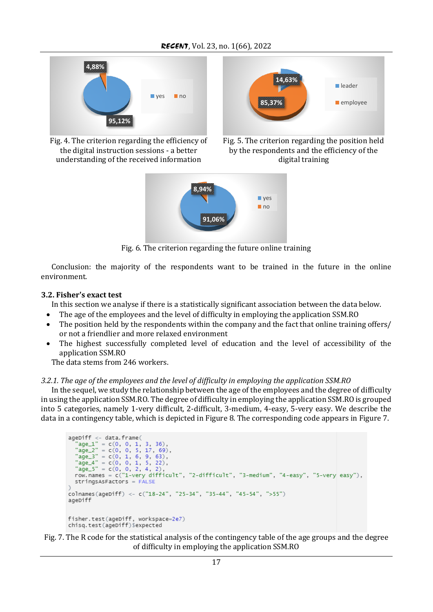



Fig. 4. The criterion regarding the efficiency of the digital instruction sessions - a better understanding of the received information





Fig. 6. The criterion regarding the future online training

Conclusion: the majority of the respondents want to be trained in the future in the online environment.

## **3.2. Fisher's exact test**

In this section we analyse if there is a statistically significant association between the data below.

- The age of the employees and the level of difficulty in employing the application SSM.RO
- The position held by the respondents within the company and the fact that online training offers/ or not a friendlier and more relaxed environment
- The highest successfully completed level of education and the level of accessibility of the application SSM.RO

The data stems from 246 workers.

# *3.2.1. The age of the employees and the level of difficulty in employing the application SSM.RO*

In the sequel, we study the relationship between the age of the employees and the degree of difficulty in using the application SSM.RO. The degree of difficulty in employing the application SSM.RO is grouped into 5 categories, namely 1-very difficult, 2-difficult, 3-medium, 4-easy, 5-very easy. We describe the data in a contingency table, which is depicted in Figure 8. The corresponding code appears in Figure 7.

```
ageDiff <- data.frame(<br>"age_1" = c(0, 0, 1, 3, 36),
   \begin{array}{rcl} \text{age\_1} & = & \text{c}(0, 0, 1, 3, 30), \\ \text{age\_2} & = & \text{c}(0, 0, 5, 17, 69), \end{array}\text{age\_2} = \text{c}(0, 0, 3, 1, 6)<br>\text{age\_3} = \text{c}(0, 1, 6, 9, 63),
   age_3 = C(0, 1, 6, 9, 63),<br>
"age_4" = c(0, 0, 1, 5, 22),<br>
"age_5" = c(0, 0, 2, 4, 2),<br>
row.names = c("1-very difficult", "2-difficult", "3-medium", "4-easy", "5-very easy"),
   stringsASFactorS = FALSEcolnames(ageDiff) <- c("18-24", "25-34", "35-44", "45-54", ">55")
ageDiff
fisher.test(ageDiff, workspace=2e7)
chisg.test(ageDiff)$expected
```
Fig. 7. The R code for the statistical analysis of the contingency table of the age groups and the degree of difficulty in employing the application SSM.RO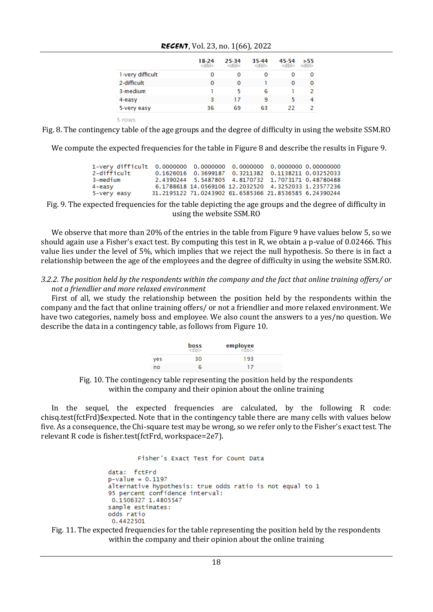|                  | 18-24<br><dbl></dbl> | 25-34<br><dbl></dbl> | 35-44<br><dbl></dbl> | 45-54<br><dbl></dbl> | >55<br><dbl></dbl> |
|------------------|----------------------|----------------------|----------------------|----------------------|--------------------|
| 1-very difficult | 0                    | Ω                    | Ω                    | o                    | 0                  |
| 2-difficult      | 0                    | 0                    |                      | 0                    | 0                  |
| 3-medium         |                      | 5                    | 6                    |                      | 2                  |
| $4 - easy$       | 3                    | 17                   | 9                    |                      | 4                  |
| 5-very easy      | 36                   | 69                   | 63                   | 22                   |                    |

*RECENT*, Vol. 23, no. 1(66), 2022

5 rows

Fig. 8. The contingency table of the age groups and the degree of difficulty in using the website SSM.RO

We compute the expected frequencies for the table in Figure 8 and describe the results in Figure 9.

| 2-difficult |  | 0.1626016 0.3699187 0.3211382 0.1138211 0.03252033     |  |
|-------------|--|--------------------------------------------------------|--|
| 3-medium    |  | 2.4390244 5.5487805 4.8170732 1.7073171 0.48780488     |  |
| 4-easy      |  | 6.1788618 14.0569106 12.2032520 4.3252033 1.23577236   |  |
| 5-very easy |  | 31.2195122 71.0243902 61.6585366 21.8536585 6.24390244 |  |

Fig. 9. The expected frequencies for the table depicting the age groups and the degree of difficulty in using the website SSM.RO

We observe that more than 20% of the entries in the table from Figure 9 have values below 5, so we should again use a Fisher's exact test. By computing this test in R, we obtain a p-value of 0.02466. This value lies under the level of 5%, which implies that we reject the null hypothesis. So there is in fact a relationship between the age of the employees and the degree of difficulty in using the website SSM.RO.

#### *3.2.2. The position held by the respondents within the company and the fact that online training offers/ or not a friendlier and more relaxed environment*

First of all, we study the relationship between the position held by the respondents within the company and the fact that online training offers/ or not a friendlier and more relaxed environment. We have two categories, namely boss and employee. We also count the answers to a yes/no question. We describe the data in a contingency table, as follows from Figure 10.

|     | boss<br><dbl></dbl> | employee |
|-----|---------------------|----------|
| ves | 30                  | 193      |
| no  | հ                   | 17       |

Fig. 10. The contingency table representing the position held by the respondents within the company and their opinion about the online training

In the sequel, the expected frequencies are calculated, by the following R code: chisq.test(fctFrd)\$expected. Note that in the contingency table there are many cells with values below five. As a consequence, the Chi-square test may be wrong, so we refer only to the Fisher's exact test. The relevant R code is fisher.test(fctFrd, workspace=2e7).

```
Fisher's Exact Test for Count Data
```

```
data: fctFrd
p-value = 0.1197alternative hypothesis: true odds ratio is not equal to 1
95 percent confidence interval:
0.1506327 1.4805547
sample estimates:
odds ratio
0.4422501
```
Fig. 11. The expected frequencies for the table representing the position held by the respondents within the company and their opinion about the online training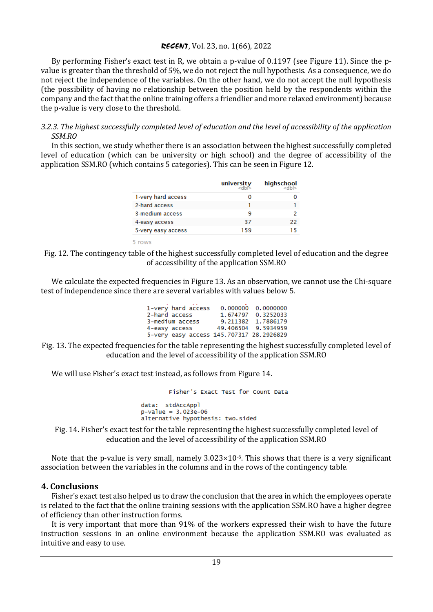By performing Fisher's exact test in R, we obtain a p-value of 0.1197 (see Figure 11). Since the pvalue is greater than the threshold of 5%, we do not reject the null hypothesis. As a consequence, we do not reject the independence of the variables. On the other hand, we do not accept the null hypothesis (the possibility of having no relationship between the position held by the respondents within the company and the fact that the online training offers a friendlier and more relaxed environment) because the p-value is very close to the threshold.

## *3.2.3. The highest successfully completed level of education and the level of accessibility of the application SSM.RO*

In this section, we study whether there is an association between the highest successfully completed level of education (which can be university or high school) and the degree of accessibility of the application SSM.RO (which contains 5 categories). This can be seen in Figure 12.

|                    | university | highschool |
|--------------------|------------|------------|
| 1-very hard access | O          |            |
| 2-hard access      |            |            |
| 3-medium access    | 9          |            |
| 4-easy access      | 37         | 22         |
| 5-very easy access | 159        | 15         |

5 rows

Fig. 12. The contingency table of the highest successfully completed level of education and the degree of accessibility of the application SSM.RO

We calculate the expected frequencies in Figure 13. As an observation, we cannot use the Chi-square test of independence since there are several variables with values below 5.

| 1-very hard access                       | 0.000000 0.0000000  |
|------------------------------------------|---------------------|
| 2-hard access                            | 1.674797 0.3252033  |
| 3-medium access                          | 9.211382 1.7886179  |
| 4-easy access                            | 49.406504 9.5934959 |
| 5-very easy access 145.707317 28.2926829 |                     |

Fig. 13. The expected frequencies for the table representing the highest successfully completed level of education and the level of accessibility of the application SSM.RO

We will use Fisher's exact test instead, as follows from Figure 14.

```
Fisher's Exact Test for Count Data
data: stdAccAppl
p-value = 3.023e-06alternative hypothesis: two.sided
```
Fig. 14. Fisher's exact test for the table representing the highest successfully completed level of education and the level of accessibility of the application SSM.RO

Note that the p-value is very small, namely  $3.023 \times 10^{-6}$ . This shows that there is a very significant association between the variables in the columns and in the rows of the contingency table.

#### **4. Conclusions**

Fisher's exact test also helped us to draw the conclusion that the area in which the employees operate is related to the fact that the online training sessions with the application SSM.RO have a higher degree of efficiency than other instruction forms.

It is very important that more than 91% of the workers expressed their wish to have the future instruction sessions in an online environment because the application SSM.RO was evaluated as intuitive and easy to use.